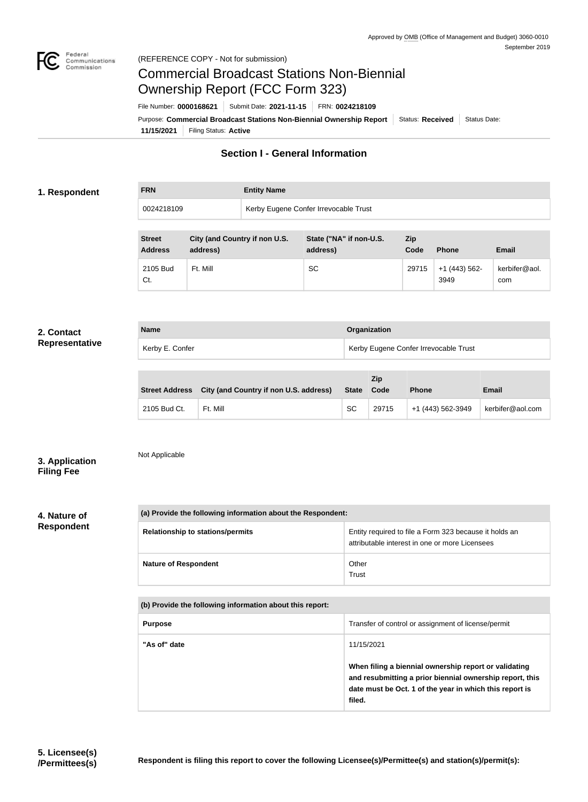3949

kerbifer@aol.

com



# Commercial Broadcast Stations Non-Biennial Ownership Report (FCC Form 323)

**11/15/2021** Filing Status: **Active** Purpose: Commercial Broadcast Stations Non-Biennial Ownership Report Status: Received Status Date: File Number: **0000168621** Submit Date: **2021-11-15** FRN: **0024218109**

## **Section I - General Information**

#### **1. Respondent**

**FRN Entity Name**

| 0024218109                      |                                           |  | Kerby Eugene Confer Irrevocable Trust |                    |              |              |  |
|---------------------------------|-------------------------------------------|--|---------------------------------------|--------------------|--------------|--------------|--|
|                                 |                                           |  |                                       |                    |              |              |  |
| <b>Street</b><br><b>Address</b> | City (and Country if non U.S.<br>address) |  | State ("NA" if non-U.S.<br>address)   | <b>Zip</b><br>Code | <b>Phone</b> | <b>Email</b> |  |
|                                 |                                           |  |                                       |                    |              |              |  |

Ft. Mill **SC** SC 29715 +1 (443) 562-

#### **2. Contact Representative**

| <b>Name</b>     | Organization                          |
|-----------------|---------------------------------------|
| Kerby E. Confer | Kerby Eugene Confer Irrevocable Trust |

|              | Street Address City (and Country if non U.S. address) | State Code | <b>Zip</b> | <b>Phone</b>      | <b>Email</b>     |
|--------------|-------------------------------------------------------|------------|------------|-------------------|------------------|
| 2105 Bud Ct. | Ft. Mill                                              | <b>SC</b>  | 29715      | +1 (443) 562-3949 | kerbifer@aol.com |

**3. Application Filing Fee**

Not Applicable

2105 Bud

Ct.

### **4. Nature of Respondent**

| (a) Provide the following information about the Respondent: |                                                                                                          |  |  |
|-------------------------------------------------------------|----------------------------------------------------------------------------------------------------------|--|--|
| <b>Relationship to stations/permits</b>                     | Entity required to file a Form 323 because it holds an<br>attributable interest in one or more Licensees |  |  |
| <b>Nature of Respondent</b>                                 | Other<br>Trust                                                                                           |  |  |

| (b) Provide the following information about this report: |                                                                                                                                                                                        |  |  |
|----------------------------------------------------------|----------------------------------------------------------------------------------------------------------------------------------------------------------------------------------------|--|--|
| <b>Purpose</b>                                           | Transfer of control or assignment of license/permit                                                                                                                                    |  |  |
| "As of" date                                             | 11/15/2021                                                                                                                                                                             |  |  |
|                                                          | When filing a biennial ownership report or validating<br>and resubmitting a prior biennial ownership report, this<br>date must be Oct. 1 of the year in which this report is<br>filed. |  |  |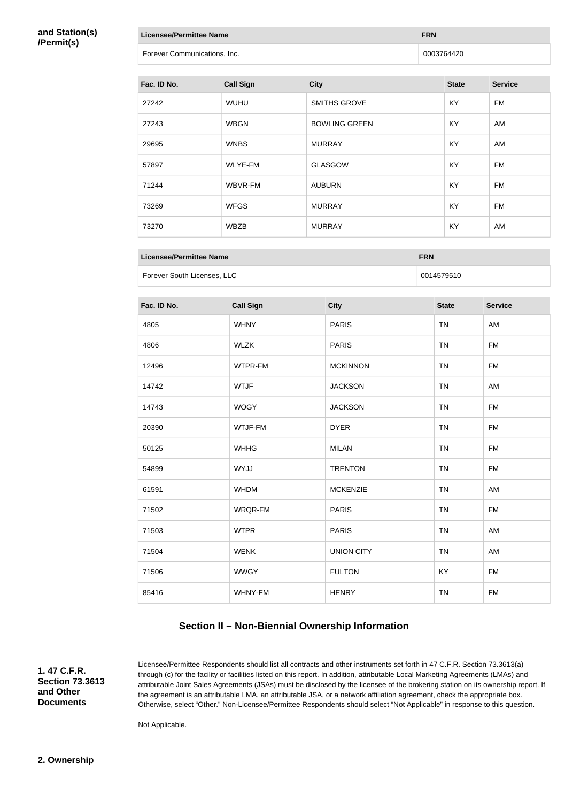#### **and Station(s) /Permit(s)**

| Licensee/Permittee Name      | <b>FRN</b> |
|------------------------------|------------|
| Forever Communications, Inc. | 0003764420 |
|                              |            |

| Fac. ID No. | <b>Call Sign</b> | <b>City</b>          | <b>State</b> | <b>Service</b> |
|-------------|------------------|----------------------|--------------|----------------|
| 27242       | <b>WUHU</b>      | SMITHS GROVE         | <b>KY</b>    | FM             |
| 27243       | <b>WBGN</b>      | <b>BOWLING GREEN</b> | <b>KY</b>    | AM             |
| 29695       | <b>WNBS</b>      | <b>MURRAY</b>        | <b>KY</b>    | AM             |
| 57897       | <b>WLYE-FM</b>   | <b>GLASGOW</b>       | KY.          | FM             |
| 71244       | WBVR-FM          | <b>AUBURN</b>        | <b>KY</b>    | FM             |
| 73269       | <b>WFGS</b>      | <b>MURRAY</b>        | <b>KY</b>    | <b>FM</b>      |
| 73270       | <b>WBZB</b>      | <b>MURRAY</b>        | KY.          | AM             |

| Licensee/Permittee Name     | <b>FRN</b> |
|-----------------------------|------------|
| Forever South Licenses, LLC | 0014579510 |

| Fac. ID No. | <b>Call Sign</b> | <b>City</b>       | <b>State</b> | <b>Service</b> |
|-------------|------------------|-------------------|--------------|----------------|
| 4805        | <b>WHNY</b>      | <b>PARIS</b>      | <b>TN</b>    | AM             |
| 4806        | <b>WLZK</b>      | <b>PARIS</b>      | <b>TN</b>    | <b>FM</b>      |
| 12496       | WTPR-FM          | <b>MCKINNON</b>   | <b>TN</b>    | <b>FM</b>      |
| 14742       | <b>WTJF</b>      | <b>JACKSON</b>    | <b>TN</b>    | AM             |
| 14743       | <b>WOGY</b>      | <b>JACKSON</b>    | <b>TN</b>    | <b>FM</b>      |
| 20390       | WTJF-FM          | <b>DYER</b>       | <b>TN</b>    | <b>FM</b>      |
| 50125       | <b>WHHG</b>      | <b>MILAN</b>      | <b>TN</b>    | <b>FM</b>      |
| 54899       | <b>WYJJ</b>      | <b>TRENTON</b>    | <b>TN</b>    | <b>FM</b>      |
| 61591       | <b>WHDM</b>      | <b>MCKENZIE</b>   | <b>TN</b>    | AM             |
| 71502       | WRQR-FM          | <b>PARIS</b>      | <b>TN</b>    | <b>FM</b>      |
| 71503       | <b>WTPR</b>      | <b>PARIS</b>      | <b>TN</b>    | AM             |
| 71504       | <b>WENK</b>      | <b>UNION CITY</b> | <b>TN</b>    | AM             |
| 71506       | <b>WWGY</b>      | <b>FULTON</b>     | KY           | <b>FM</b>      |
| 85416       | WHNY-FM          | <b>HENRY</b>      | <b>TN</b>    | <b>FM</b>      |

## **Section II – Non-Biennial Ownership Information**

**1. 47 C.F.R. Section 73.3613 and Other Documents**

Licensee/Permittee Respondents should list all contracts and other instruments set forth in 47 C.F.R. Section 73.3613(a) through (c) for the facility or facilities listed on this report. In addition, attributable Local Marketing Agreements (LMAs) and attributable Joint Sales Agreements (JSAs) must be disclosed by the licensee of the brokering station on its ownership report. If the agreement is an attributable LMA, an attributable JSA, or a network affiliation agreement, check the appropriate box. Otherwise, select "Other." Non-Licensee/Permittee Respondents should select "Not Applicable" in response to this question.

Not Applicable.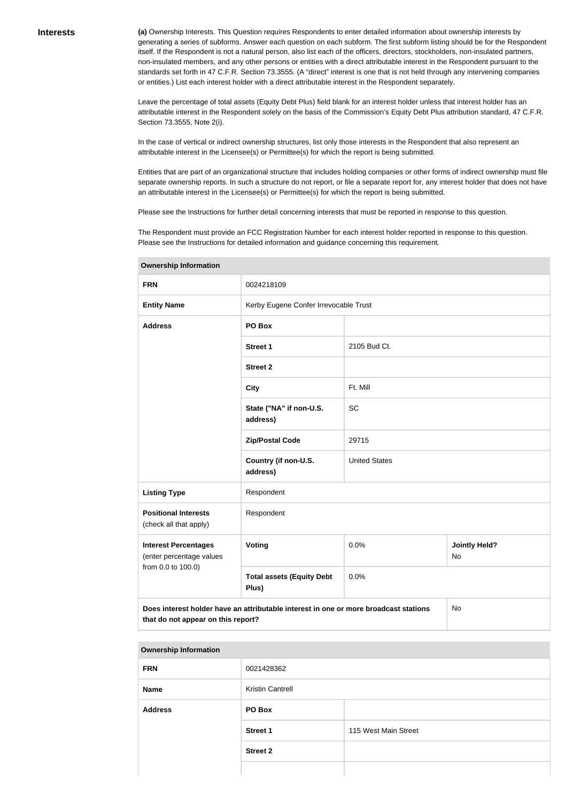**(a)** Ownership Interests. This Question requires Respondents to enter detailed information about ownership interests by generating a series of subforms. Answer each question on each subform. The first subform listing should be for the Respondent itself. If the Respondent is not a natural person, also list each of the officers, directors, stockholders, non-insulated partners, non-insulated members, and any other persons or entities with a direct attributable interest in the Respondent pursuant to the standards set forth in 47 C.F.R. Section 73.3555. (A "direct" interest is one that is not held through any intervening companies or entities.) List each interest holder with a direct attributable interest in the Respondent separately.

Leave the percentage of total assets (Equity Debt Plus) field blank for an interest holder unless that interest holder has an attributable interest in the Respondent solely on the basis of the Commission's Equity Debt Plus attribution standard, 47 C.F.R. Section 73.3555, Note 2(i).

In the case of vertical or indirect ownership structures, list only those interests in the Respondent that also represent an attributable interest in the Licensee(s) or Permittee(s) for which the report is being submitted.

Entities that are part of an organizational structure that includes holding companies or other forms of indirect ownership must file separate ownership reports. In such a structure do not report, or file a separate report for, any interest holder that does not have an attributable interest in the Licensee(s) or Permittee(s) for which the report is being submitted.

Please see the Instructions for further detail concerning interests that must be reported in response to this question.

The Respondent must provide an FCC Registration Number for each interest holder reported in response to this question. Please see the Instructions for detailed information and guidance concerning this requirement.

| <b>Ownership Information</b>                            |                                                                                                                                         |                      |                            |  |  |
|---------------------------------------------------------|-----------------------------------------------------------------------------------------------------------------------------------------|----------------------|----------------------------|--|--|
| <b>FRN</b>                                              | 0024218109                                                                                                                              |                      |                            |  |  |
| <b>Entity Name</b>                                      | Kerby Eugene Confer Irrevocable Trust                                                                                                   |                      |                            |  |  |
| <b>Address</b>                                          | PO Box                                                                                                                                  |                      |                            |  |  |
|                                                         | <b>Street 1</b>                                                                                                                         | 2105 Bud Ct.         |                            |  |  |
|                                                         | <b>Street 2</b>                                                                                                                         |                      |                            |  |  |
|                                                         | <b>City</b>                                                                                                                             | Ft. Mill             |                            |  |  |
|                                                         | State ("NA" if non-U.S.<br>address)                                                                                                     | <b>SC</b>            |                            |  |  |
|                                                         | <b>Zip/Postal Code</b>                                                                                                                  | 29715                |                            |  |  |
|                                                         | Country (if non-U.S.<br>address)                                                                                                        | <b>United States</b> |                            |  |  |
| <b>Listing Type</b>                                     | Respondent                                                                                                                              |                      |                            |  |  |
| <b>Positional Interests</b><br>(check all that apply)   | Respondent                                                                                                                              |                      |                            |  |  |
| <b>Interest Percentages</b><br>(enter percentage values | <b>Voting</b>                                                                                                                           | 0.0%                 | <b>Jointly Held?</b><br>No |  |  |
| from 0.0 to 100.0)                                      | <b>Total assets (Equity Debt</b><br>Plus)                                                                                               | 0.0%                 |                            |  |  |
|                                                         | Does interest holder have an attributable interest in one or more broadcast stations<br><b>No</b><br>that do not appear on this report? |                      |                            |  |  |

**Ownership Information FRN** 0021428362 **Name** Kristin Cantrell **Address PO Box Street 1** 115 West Main Street **Street 2**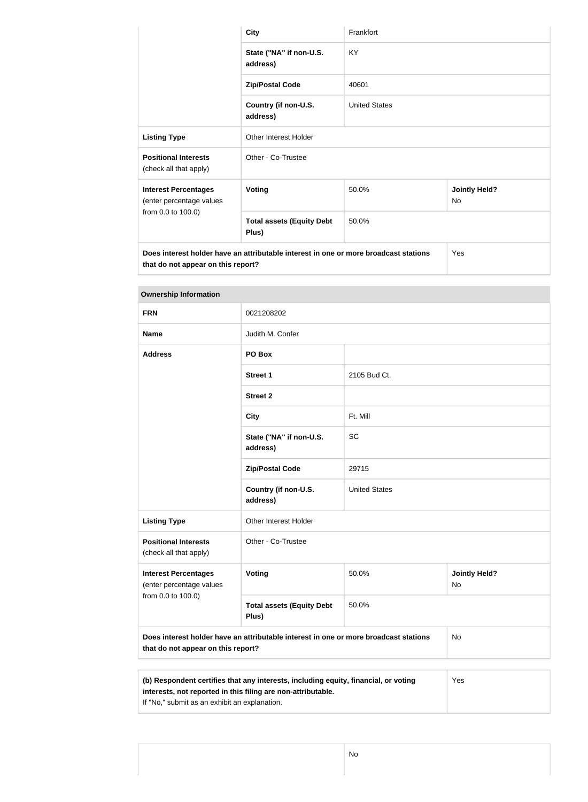|                                                                                                                            | <b>City</b>                               | Frankfort            |                                   |  |
|----------------------------------------------------------------------------------------------------------------------------|-------------------------------------------|----------------------|-----------------------------------|--|
|                                                                                                                            | State ("NA" if non-U.S.<br>address)       | <b>KY</b>            |                                   |  |
|                                                                                                                            | <b>Zip/Postal Code</b>                    | 40601                |                                   |  |
|                                                                                                                            | Country (if non-U.S.<br>address)          | <b>United States</b> |                                   |  |
| <b>Listing Type</b>                                                                                                        | <b>Other Interest Holder</b>              |                      |                                   |  |
| <b>Positional Interests</b><br>(check all that apply)                                                                      | Other - Co-Trustee                        |                      |                                   |  |
| <b>Interest Percentages</b><br>(enter percentage values                                                                    | <b>Voting</b>                             | 50.0%                | <b>Jointly Held?</b><br><b>No</b> |  |
| from 0.0 to 100.0)                                                                                                         | <b>Total assets (Equity Debt</b><br>Plus) | 50.0%                |                                   |  |
| Does interest holder have an attributable interest in one or more broadcast stations<br>that do not appear on this report? |                                           |                      | Yes                               |  |

## **Ownership Information**

| <b>FRN</b>                                                                                                                       | 0021208202                                |                      |                                   |  |
|----------------------------------------------------------------------------------------------------------------------------------|-------------------------------------------|----------------------|-----------------------------------|--|
| <b>Name</b>                                                                                                                      | Judith M. Confer                          |                      |                                   |  |
| <b>Address</b>                                                                                                                   | PO Box                                    |                      |                                   |  |
|                                                                                                                                  | <b>Street 1</b>                           | 2105 Bud Ct.         |                                   |  |
|                                                                                                                                  | <b>Street 2</b>                           |                      |                                   |  |
|                                                                                                                                  | <b>City</b>                               | Ft. Mill             |                                   |  |
|                                                                                                                                  | State ("NA" if non-U.S.<br>address)       | <b>SC</b>            |                                   |  |
|                                                                                                                                  | <b>Zip/Postal Code</b>                    | 29715                |                                   |  |
|                                                                                                                                  | Country (if non-U.S.<br>address)          | <b>United States</b> |                                   |  |
| <b>Listing Type</b>                                                                                                              | Other Interest Holder                     |                      |                                   |  |
| <b>Positional Interests</b><br>(check all that apply)                                                                            | Other - Co-Trustee                        |                      |                                   |  |
| <b>Interest Percentages</b><br>(enter percentage values                                                                          | <b>Voting</b>                             | 50.0%                | <b>Jointly Held?</b><br><b>No</b> |  |
| from 0.0 to 100.0)                                                                                                               | <b>Total assets (Equity Debt</b><br>Plus) | 50.0%                |                                   |  |
| Does interest holder have an attributable interest in one or more broadcast stations<br>No<br>that do not appear on this report? |                                           |                      |                                   |  |
| $V_{\alpha\alpha}$<br>(b) Despendent contifies that one interests including coniter financial creating                           |                                           |                      |                                   |  |

| (b) Respondent certifies that any interests, including equity, financial, or voting | Yes |
|-------------------------------------------------------------------------------------|-----|
| interests, not reported in this filing are non-attributable.                        |     |
| If "No," submit as an exhibit an explanation.                                       |     |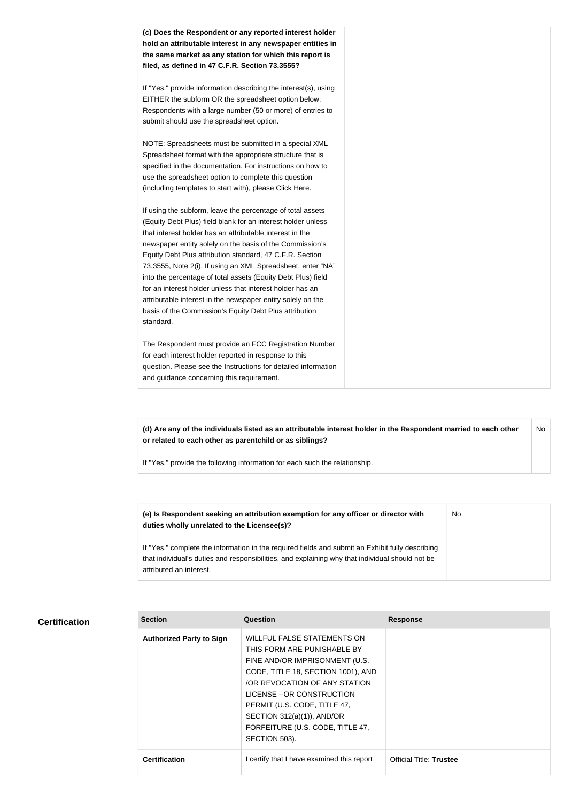**(c) Does the Respondent or any reported interest holder hold an attributable interest in any newspaper entities in the same market as any station for which this report is filed, as defined in 47 C.F.R. Section 73.3555?**

If "Yes," provide information describing the interest(s), using EITHER the subform OR the spreadsheet option below. Respondents with a large number (50 or more) of entries to submit should use the spreadsheet option.

NOTE: Spreadsheets must be submitted in a special XML Spreadsheet format with the appropriate structure that is specified in the documentation. For instructions on how to use the spreadsheet option to complete this question (including templates to start with), please Click Here.

If using the subform, leave the percentage of total assets (Equity Debt Plus) field blank for an interest holder unless that interest holder has an attributable interest in the newspaper entity solely on the basis of the Commission's Equity Debt Plus attribution standard, 47 C.F.R. Section 73.3555, Note 2(i). If using an XML Spreadsheet, enter "NA" into the percentage of total assets (Equity Debt Plus) field for an interest holder unless that interest holder has an attributable interest in the newspaper entity solely on the basis of the Commission's Equity Debt Plus attribution standard.

The Respondent must provide an FCC Registration Number for each interest holder reported in response to this question. Please see the Instructions for detailed information and guidance concerning this requirement.

**(d) Are any of the individuals listed as an attributable interest holder in the Respondent married to each other or related to each other as parentchild or as siblings?** No

If "Yes," provide the following information for each such the relationship.

**(e) Is Respondent seeking an attribution exemption for any officer or director with duties wholly unrelated to the Licensee(s)?** No

If "Yes," complete the information in the required fields and submit an Exhibit fully describing that individual's duties and responsibilities, and explaining why that individual should not be attributed an interest.

#### **Certification**

| <b>Section</b>                  | Question                                                                                                                                                                                                                                                                                                                   | <b>Response</b>                |
|---------------------------------|----------------------------------------------------------------------------------------------------------------------------------------------------------------------------------------------------------------------------------------------------------------------------------------------------------------------------|--------------------------------|
| <b>Authorized Party to Sign</b> | <b>WILLFUL FALSE STATEMENTS ON</b><br>THIS FORM ARE PUNISHABLE BY<br>FINE AND/OR IMPRISONMENT (U.S.<br>CODE, TITLE 18, SECTION 1001), AND<br>OR REVOCATION OF ANY STATION<br>LICENSE -- OR CONSTRUCTION<br>PERMIT (U.S. CODE, TITLE 47,<br>SECTION 312(a)(1)), AND/OR<br>FORFEITURE (U.S. CODE, TITLE 47,<br>SECTION 503). |                                |
| <b>Certification</b>            | certify that I have examined this report                                                                                                                                                                                                                                                                                   | <b>Official Title: Trustee</b> |